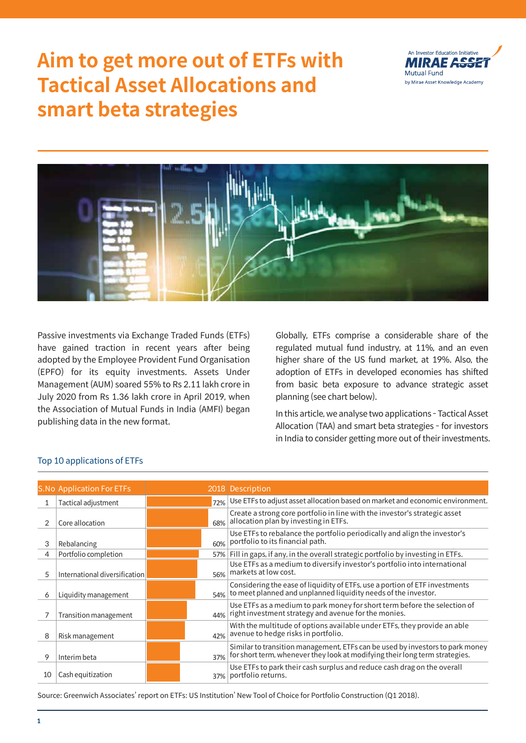# **Aim to get more out of ETFs with Tactical Asset Allocations and smart beta strategies**





Passive investments via Exchange Traded Funds (ETFs) have gained traction in recent years after being adopted by the Employee Provident Fund Organisation (EPFO) for its equity investments. Assets Under Management (AUM) soared 55% to Rs 2.11 lakh crore in July 2020 from Rs 1.36 lakh crore in April 2019, when the Association of Mutual Funds in India (AMFI) began publishing data in the new format.

Globally, ETFs comprise a considerable share of the regulated mutual fund industry, at 11%, and an even higher share of the US fund market, at 19%. Also, the adoption of ETFs in developed economies has shifted from basic beta exposure to advance strategic asset planning (see chart below).

In this article, we analyse two applications - Tactical Asset Allocation (TAA) and smart beta strategies - for investors in India to consider getting more out of their investments.

#### Top 10 applications of ETFs

|    | <b>S.No Application For ETFs</b> |     | 2018 Description                                                                                                                                             |
|----|----------------------------------|-----|--------------------------------------------------------------------------------------------------------------------------------------------------------------|
|    | Tactical adjustment              | 72% | Use ETFs to adjust asset allocation based on market and economic environment.                                                                                |
|    | Core allocation                  | 68% | Create a strong core portfolio in line with the investor's strategic asset<br>allocation plan by investing in ETFs.                                          |
| 3  | Rebalancing                      | 60% | Use ETFs to rebalance the portfolio periodically and align the investor's<br>portfolio to its financial path.                                                |
| 4  | Portfolio completion             | 57% | Fill in gaps, if any, in the overall strategic portfolio by investing in ETFs.                                                                               |
| 5  | International diversification    | 56% | Use ETFs as a medium to diversify investor's portfolio into international<br>markets at low cost.                                                            |
| 6  | Liquidity management             | 54% | Considering the ease of liquidity of ETFs, use a portion of ETF investments<br>to meet planned and unplanned liquidity needs of the investor.                |
|    | Transition management            | 44% | Use ETFs as a medium to park money for short term before the selection of<br>right investment strategy and avenue for the monies.                            |
| 8  | Risk management                  | 42% | With the multitude of options available under ETFs, they provide an able<br>avenue to hedge risks in portfolio.                                              |
| 9  | Interim beta                     | 37% | Similar to transition management, ETFs can be used by investors to park money<br>for short term, whenever they look at modifying their long term strategies. |
| 10 | Cash equitization                | 37% | Use ETFs to park their cash surplus and reduce cash drag on the overall<br>portfolio returns.                                                                |

Source: Greenwich Associates' report on ETFs: US Institution' New Tool of Choice for Portfolio Construction (Q1 2018).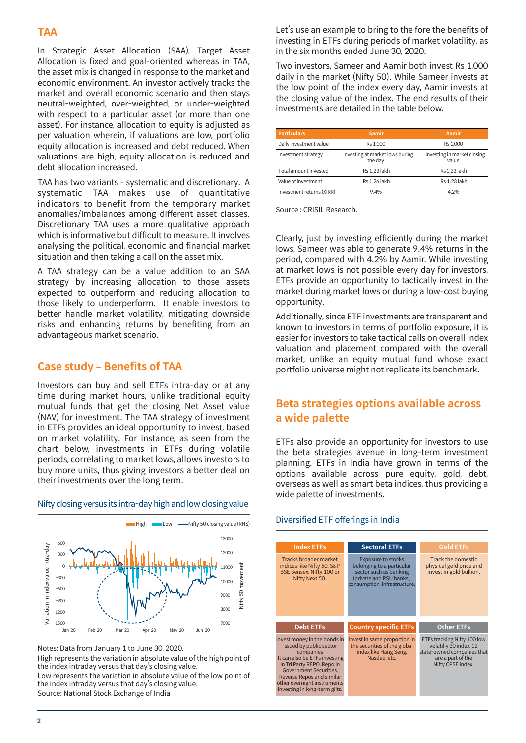# **TAA**

In Strategic Asset Allocation (SAA), Target Asset Allocation is fixed and goal-oriented whereas in TAA, the asset mix is changed in response to the market and economic environment. An investor actively tracks the market and overall economic scenario and then stays neutral-weighted, over-weighted, or under-weighted with respect to a particular asset (or more than one asset). For instance, allocation to equity is adjusted as per valuation wherein, if valuations are low, portfolio equity allocation is increased and debt reduced. When valuations are high, equity allocation is reduced and debt allocation increased.

TAA has two variants - systematic and discretionary. A systematic TAA makes use of quantitative indicators to benefit from the temporary market anomalies/imbalances among different asset classes. Discretionary TAA uses a more qualitative approach which is informative but difficult to measure. It involves analysing the political, economic and financial market situation and then taking a call on the asset mix.

A TAA strategy can be a value addition to an SAA strategy by increasing allocation to those assets expected to outperform and reducing allocation to those likely to underperform. It enable investors to better handle market volatility, mitigating downside risks and enhancing returns by benefiting from an advantageous market scenario.

#### **Case study** – **Benefits of TAA**

Investors can buy and sell ETFs intra-day or at any time during market hours, unlike traditional equity mutual funds that get the closing Net Asset value (NAV) for investment. The TAA strategy of investment in ETFs provides an ideal opportunity to invest, based on market volatility. For instance, as seen from the chart below, investments in ETFs during volatile periods, correlating to market lows, allows investors to buy more units, thus giving investors a better deal on their investments over the long term.

 $\blacksquare$  High  $\blacksquare$  High  $\blacksquare$  ow  $\blacksquare$  Nifty 50 closing value (RHS) 13000 600 Variation in index value intra-day Variation in index value intra-day 12000 300  $\Omega$ 11000  $\overline{5}$ Nifty 50 movement movem -300 10000  $-600$  $50<sub>1</sub>$ 9000 -900 Nifty 8000  $-1200$ -1500 7000 Jan-20 Feb-20 Mar-20 Apr-20 May-20 Jun-20

Nifty closing versus its intra-day high and low closing value

Notes: Data from January 1 to June 30, 2020. High represents the variation in absolute value of the high point of the index intraday versus that day's closing value.

Low represents the variation in absolute value of the low point of the index intraday versus that day's closing value. Source: National Stock Exchange of India

Let's use an example to bring to the fore the benefits of investing in ETFs during periods of market volatility, as in the six months ended June 30, 2020.

Two investors, Sameer and Aamir both invest Rs 1,000 daily in the market (Nifty 50). While Sameer invests at the low point of the index every day, Aamir invests at the closing value of the index. The end results of their investments are detailed in the table below.

| <b>Particulars</b>        | <b>Samir</b>                               | Aamir                                |  |  |  |
|---------------------------|--------------------------------------------|--------------------------------------|--|--|--|
| Daily investment value    | Rs 1.000                                   | Rs 1.000                             |  |  |  |
| Investment strategy       | Investing at market lows during<br>the day | Investing in market closing<br>value |  |  |  |
| Total amount invested     | <b>Rs 1.23 lakh</b>                        | Rs 1.23 lakh                         |  |  |  |
| Value of investment       | Rs 1.26 lakh                               | <b>Rs 1.23 lakh</b>                  |  |  |  |
| Investment returns (XIRR) | 9.4%                                       | 4.2%                                 |  |  |  |

Source : CRISIL Research.

Clearly, just by investing efficiently during the market lows, Sameer was able to generate 9.4% returns in the period, compared with 4.2% by Aamir. While investing at market lows is not possible every day for investors, ETFs provide an opportunity to tactically invest in the market during market lows or during a low-cost buying opportunity.

Additionally, since ETF investments are transparent and known to investors in terms of portfolio exposure, it is easier for investors to take tactical calls on overall index valuation and placement compared with the overall market, unlike an equity mutual fund whose exact portfolio universe might not replicate its benchmark.

# **Beta strategies options available across a wide palette**

ETFs also provide an opportunity for investors to use the beta strategies avenue in long-term investment planning. ETFs in India have grown in terms of the options available across pure equity, gold, debt, overseas as well as smart beta indices, thus providing a wide palette of investments.

#### **Index ETFs** Tracks broader market indices like Nifty 50, S&P BSE Sensex, Nifty 100 or Nifty Next 50. **Sectoral ETFs** Exposure to stocks belonging to a particular sector such as banking (private and PSU banks), processes and the secondary.<br>nsumption, infrastructure **Gold ETFs** Track the domestic physical gold price and invest in gold bullion. **Country specific ETFs** Invest in same proportion in the securities of the global index like Hang Seng, Nasdaq, etc. **Other ETFs** ETFs tracking Nifty 100 low volatiliy 30 index, 12 state-owned companies that are a part of the Nifty CPSE index. **Debt ETFs** Invest money in the bonds in issued by public sector companies It can also be ETFs investing in Tri Party REPO, Repo in Government Securities, Reverse Repos and similar other overnight instruments investing in long-term gilts.

# Diversified ETF offerings in India